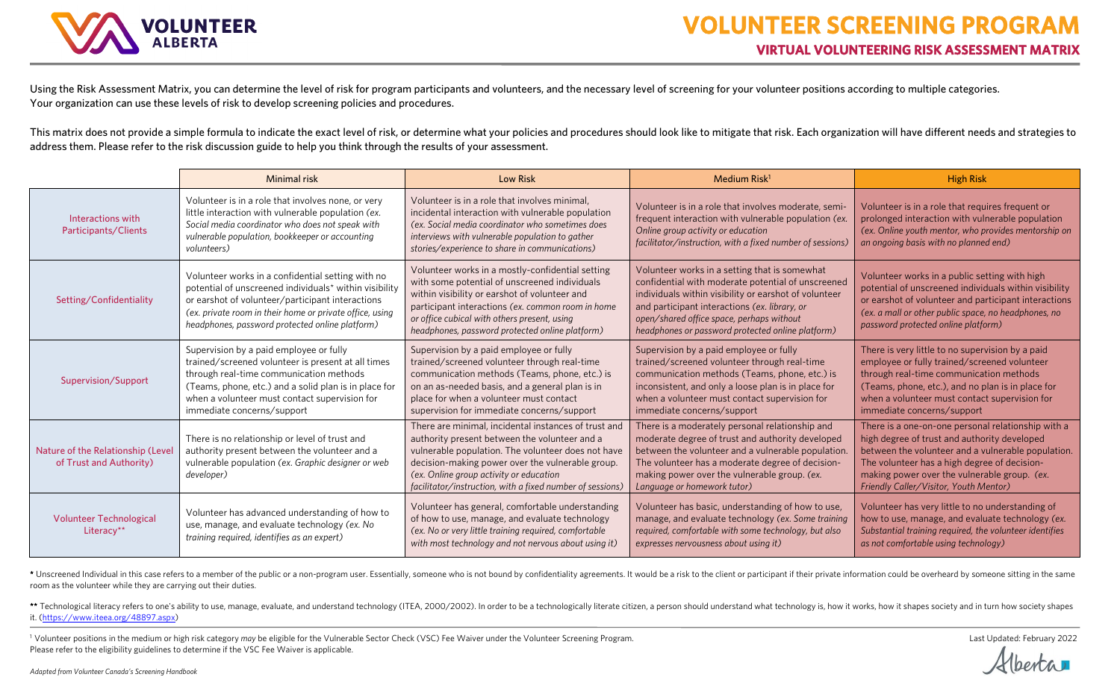

Using the Risk Assessment Matrix, you can determine the level of risk for program participants and volunteers, and the necessary level of screening for your volunteer positions according to multiple categories. Your organization can use these levels of risk to develop screening policies and procedures.

This matrix does not provide a simple formula to indicate the exact level of risk, or determine what your policies and procedures should look like to mitigate that risk. Each organization will have different needs and stra address them. Please refer to the risk discussion guide to help you think through the results of your assessment.

|                                                              | Minimal risk                                                                                                                                                                                                                                                                     | <b>Low Risk</b>                                                                                                                                                                                                                                                                                                         | Medium Risk <sup>1</sup>                                                                                                                                                                                                                                                                                        | <b>High Risk</b>                                                                                                                                                                                                                                                                                          |
|--------------------------------------------------------------|----------------------------------------------------------------------------------------------------------------------------------------------------------------------------------------------------------------------------------------------------------------------------------|-------------------------------------------------------------------------------------------------------------------------------------------------------------------------------------------------------------------------------------------------------------------------------------------------------------------------|-----------------------------------------------------------------------------------------------------------------------------------------------------------------------------------------------------------------------------------------------------------------------------------------------------------------|-----------------------------------------------------------------------------------------------------------------------------------------------------------------------------------------------------------------------------------------------------------------------------------------------------------|
| Interactions with<br>Participants/Clients                    | Volunteer is in a role that involves none, or very<br>little interaction with vulnerable population (ex.<br>Social media coordinator who does not speak with<br>vulnerable population, bookkeeper or accounting<br>volunteers)                                                   | Volunteer is in a role that involves minimal.<br>incidental interaction with vulnerable population<br>(ex. Social media coordinator who sometimes does<br>interviews with vulnerable population to gather<br>stories/experience to share in communications)                                                             | Volunteer is in a role that involves moderate, semi-<br>frequent interaction with vulnerable population (ex.<br>Online group activity or education<br>facilitator/instruction, with a fixed number of sessions,                                                                                                 | Volunteer is in a role that requires frequent or<br>prolonged interaction with vulnerable population<br>(ex. Online youth mentor, who provides mentorship on<br>an ongoing basis with no planned end)                                                                                                     |
| Setting/Confidentiality                                      | Volunteer works in a confidential setting with no<br>potential of unscreened individuals* within visibility<br>or earshot of volunteer/participant interactions<br>(ex. private room in their home or private office, using<br>headphones, password protected online platform)   | Volunteer works in a mostly-confidential setting<br>with some potential of unscreened individuals<br>within visibility or earshot of volunteer and<br>participant interactions (ex. common room in home<br>or office cubical with others present, using<br>headphones, password protected online platform)              | Volunteer works in a setting that is somewhat<br>confidential with moderate potential of unscreened<br>individuals within visibility or earshot of volunteer<br>and participant interactions (ex. library, or<br>open/shared office space, perhaps without<br>headphones or password protected online platform) | Volunteer works in a public setting with high<br>potential of unscreened individuals within visibility<br>or earshot of volunteer and participant interactions<br>(ex. a mall or other public space, no headphones, no<br>password protected online platform)                                             |
| Supervision/Support                                          | Supervision by a paid employee or fully<br>trained/screened volunteer is present at all times<br>through real-time communication methods<br>(Teams, phone, etc.) and a solid plan is in place for<br>when a volunteer must contact supervision for<br>immediate concerns/support | Supervision by a paid employee or fully<br>trained/screened volunteer through real-time<br>communication methods (Teams, phone, etc.) is<br>on an as-needed basis, and a general plan is in<br>place for when a volunteer must contact<br>supervision for immediate concerns/support                                    | Supervision by a paid employee or fully<br>trained/screened volunteer through real-time<br>communication methods (Teams, phone, etc.) is<br>inconsistent, and only a loose plan is in place for<br>when a volunteer must contact supervision for<br>immediate concerns/support                                  | There is very little to no supervision by a paid<br>employee or fully trained/screened volunteer<br>through real-time communication methods<br>(Teams, phone, etc.), and no plan is in place for<br>when a volunteer must contact supervision for<br>immediate concerns/support                           |
| Nature of the Relationship (Level<br>of Trust and Authority) | There is no relationship or level of trust and<br>authority present between the volunteer and a<br>vulnerable population (ex. Graphic designer or web<br>developer)                                                                                                              | There are minimal, incidental instances of trust and<br>authority present between the volunteer and a<br>vulnerable population. The volunteer does not have<br>decision-making power over the vulnerable group.<br>(ex. Online group activity or education<br>facilitator/instruction, with a fixed number of sessions) | There is a moderately personal relationship and<br>moderate degree of trust and authority developed<br>between the volunteer and a vulnerable population.<br>The volunteer has a moderate degree of decision-<br>making power over the vulnerable group. (ex.<br>Language or homework tutor)                    | There is a one-on-one personal relationship with a<br>high degree of trust and authority developed<br>between the volunteer and a vulnerable population.<br>The volunteer has a high degree of decision-<br>making power over the vulnerable group. (ex.<br><b>Friendly Caller/Visitor, Youth Mentor)</b> |
| <b>Volunteer Technological</b><br>Literacy**                 | Volunteer has advanced understanding of how to<br>use, manage, and evaluate technology (ex. No<br>training required, identifies as an expert)                                                                                                                                    | Volunteer has general, comfortable understanding<br>of how to use, manage, and evaluate technology<br>(ex. No or very little training required, comfortable<br>with most technology and not nervous about using it)                                                                                                     | Volunteer has basic, understanding of how to use,<br>manage, and evaluate technology (ex. Some training<br>required, comfortable with some technology, but also<br>expresses nervousness about using it)                                                                                                        | Volunteer has very little to no understanding of<br>how to use, manage, and evaluate technology (ex.<br>Substantial training required, the volunteer identifies<br>as not comfortable using technology)                                                                                                   |

\* Unscreened Individual in this case refers to a member of the public or a non-program user. Essentially, someone who is not bound by confidentiality agreements. It would be a risk to the client or participant if their pri room as the volunteer while they are carrying out their duties.

\*\* Technological literacy refers to one's ability to use, manage, evaluate, and understand technology (ITEA, 2000/2002). In order to be a technologically literate citizen, a person should understand what technology is, how it. [\(https://www.iteea.org/48897.aspx\)](https://www.iteea.org/48897.aspx)

<sup>1</sup> Volunteer positions in the medium or high risk category may be eligible for the Vulnerable Sector Check (VSC) Fee Waiver under the Volunteer Screening Program. Last Versitions in the medium or high risk category may be Please refer to the eligibility guidelines to determine if the VSC Fee Waiver is applicable.

Hberta